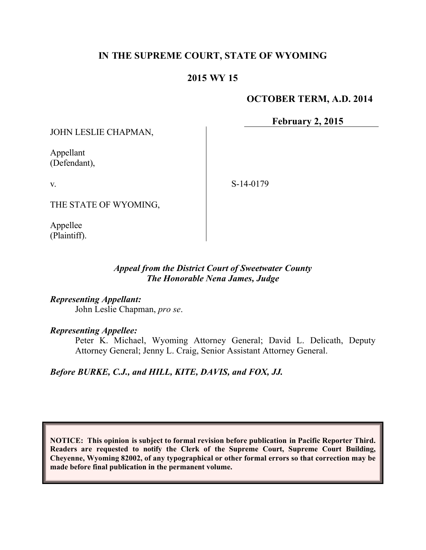# **IN THE SUPREME COURT, STATE OF WYOMING**

# **2015 WY 15**

### **OCTOBER TERM, A.D. 2014**

**February 2, 2015**

JOHN LESLIE CHAPMAN,

Appellant (Defendant),

v.

S-14-0179

THE STATE OF WYOMING,

Appellee (Plaintiff).

## *Appeal from the District Court of Sweetwater County The Honorable Nena James, Judge*

*Representing Appellant:*

John Leslie Chapman, *pro se*.

*Representing Appellee:*

Peter K. Michael, Wyoming Attorney General; David L. Delicath, Deputy Attorney General; Jenny L. Craig, Senior Assistant Attorney General.

*Before BURKE, C.J., and HILL, KITE, DAVIS, and FOX, JJ.*

**NOTICE: This opinion is subject to formal revision before publication in Pacific Reporter Third. Readers are requested to notify the Clerk of the Supreme Court, Supreme Court Building, Cheyenne, Wyoming 82002, of any typographical or other formal errors so that correction may be made before final publication in the permanent volume.**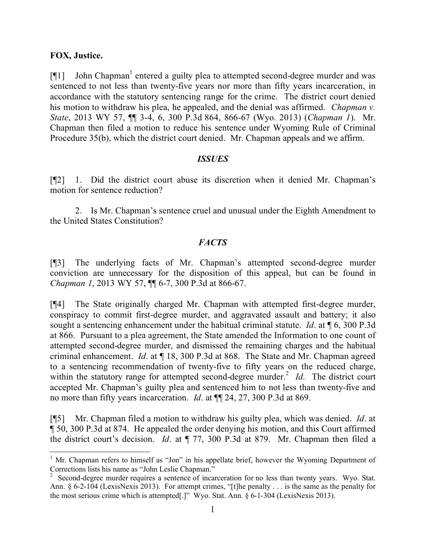#### **FOX, Justice.**

 $[\P1]$  John Chapman<sup>1</sup> entered a guilty plea to attempted second-degree murder and was sentenced to not less than twenty-five years nor more than fifty years incarceration, in accordance with the statutory sentencing range for the crime. The district court denied his motion to withdraw his plea, he appealed, and the denial was affirmed. *Chapman v. State*, 2013 WY 57, ¶¶ 3-4, 6, 300 P.3d 864, 866-67 (Wyo. 2013) (*Chapman 1*). Mr. Chapman then filed a motion to reduce his sentence under Wyoming Rule of Criminal Procedure 35(b), which the district court denied. Mr. Chapman appeals and we affirm.

### *ISSUES*

[¶2] 1. Did the district court abuse its discretion when it denied Mr. Chapman's motion for sentence reduction?

2. Is Mr. Chapman's sentence cruel and unusual under the Eighth Amendment to the United States Constitution?

## *FACTS*

[¶3] The underlying facts of Mr. Chapman's attempted second-degree murder conviction are unnecessary for the disposition of this appeal, but can be found in *Chapman 1*, 2013 WY 57, ¶¶ 6-7, 300 P.3d at 866-67.

[¶4] The State originally charged Mr. Chapman with attempted first-degree murder, conspiracy to commit first-degree murder, and aggravated assault and battery; it also sought a sentencing enhancement under the habitual criminal statute. *Id*. at ¶ 6, 300 P.3d at 866. Pursuant to a plea agreement, the State amended the Information to one count of attempted second-degree murder, and dismissed the remaining charges and the habitual criminal enhancement. *Id*. at ¶ 18, 300 P.3d at 868. The State and Mr. Chapman agreed to a sentencing recommendation of twenty-five to fifty years on the reduced charge, within the statutory range for attempted second-degree murder.<sup>2</sup> *Id*. The district court accepted Mr. Chapman's guilty plea and sentenced him to not less than twenty-five and no more than fifty years incarceration. *Id*. at ¶¶ 24, 27, 300 P.3d at 869.

[¶5] Mr. Chapman filed a motion to withdraw his guilty plea, which was denied. *Id*. at ¶ 50, 300 P.3d at 874. He appealed the order denying his motion, and this Court affirmed the district court's decision. *Id*. at ¶ 77, 300 P.3d at 879. Mr. Chapman then filed a

  $<sup>1</sup>$  Mr. Chapman refers to himself as "Jon" in his appellate brief, however the Wyoming Department of</sup> Corrections lists his name as "John Leslie Chapman."

<sup>2</sup> Second-degree murder requires a sentence of incarceration for no less than twenty years. Wyo. Stat. Ann. § 6-2-104 (LexisNexis 2013). For attempt crimes, "[t]he penalty . . . is the same as the penalty for the most serious crime which is attempted[.]" Wyo. Stat. Ann. § 6-1-304 (LexisNexis 2013).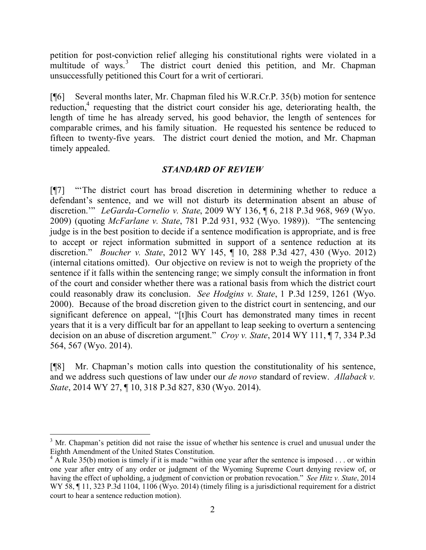petition for post-conviction relief alleging his constitutional rights were violated in a multitude of ways.<sup>3</sup> The district court denied this petition, and Mr. Chapman unsuccessfully petitioned this Court for a writ of certiorari.

[¶6] Several months later, Mr. Chapman filed his W.R.Cr.P. 35(b) motion for sentence reduction,<sup>4</sup> requesting that the district court consider his age, deteriorating health, the length of time he has already served, his good behavior, the length of sentences for comparable crimes, and his family situation. He requested his sentence be reduced to fifteen to twenty-five years. The district court denied the motion, and Mr. Chapman timely appealed.

### *STANDARD OF REVIEW*

[¶7] "'The district court has broad discretion in determining whether to reduce a defendant's sentence, and we will not disturb its determination absent an abuse of discretion.'" *LeGarda-Cornelio v. State*, 2009 WY 136, ¶ 6, 218 P.3d 968, 969 (Wyo. 2009) (quoting *McFarlane v. State*, 781 P.2d 931, 932 (Wyo. 1989)). "The sentencing judge is in the best position to decide if a sentence modification is appropriate, and is free to accept or reject information submitted in support of a sentence reduction at its discretion." *Boucher v. State*, 2012 WY 145, ¶ 10, 288 P.3d 427, 430 (Wyo. 2012) (internal citations omitted). Our objective on review is not to weigh the propriety of the sentence if it falls within the sentencing range; we simply consult the information in front of the court and consider whether there was a rational basis from which the district court could reasonably draw its conclusion. *See Hodgins v. State*, 1 P.3d 1259, 1261 (Wyo. 2000). Because of the broad discretion given to the district court in sentencing, and our significant deference on appeal, "[t]his Court has demonstrated many times in recent years that it is a very difficult bar for an appellant to leap seeking to overturn a sentencing decision on an abuse of discretion argument." *Croy v. State*, 2014 WY 111, ¶ 7, 334 P.3d 564, 567 (Wyo. 2014).

[¶8] Mr. Chapman's motion calls into question the constitutionality of his sentence, and we address such questions of law under our *de novo* standard of review. *Allaback v. State*, 2014 WY 27, ¶ 10, 318 P.3d 827, 830 (Wyo. 2014).

 <sup>3</sup> Mr. Chapman's petition did not raise the issue of whether his sentence is cruel and unusual under the Eighth Amendment of the United States Constitution.

 $^{4}$  A Rule 35(b) motion is timely if it is made "within one year after the sentence is imposed . . . or within one year after entry of any order or judgment of the Wyoming Supreme Court denying review of, or having the effect of upholding, a judgment of conviction or probation revocation." *See Hitz v. State*, 2014 WY 58,  $\P$  11, 323 P.3d 1104, 1106 (Wyo. 2014) (timely filing is a jurisdictional requirement for a district court to hear a sentence reduction motion).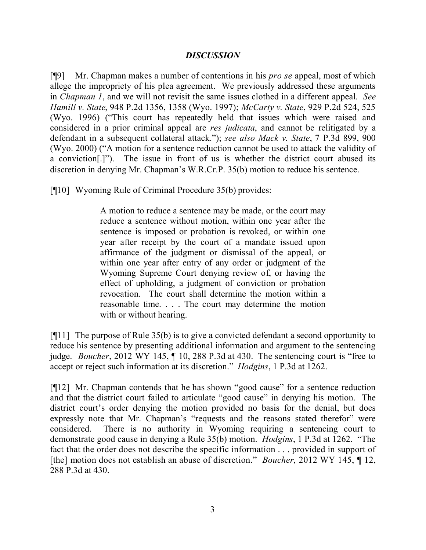### *DISCUSSION*

[¶9] Mr. Chapman makes a number of contentions in his *pro se* appeal, most of which allege the impropriety of his plea agreement. We previously addressed these arguments in *Chapman 1*, and we will not revisit the same issues clothed in a different appeal. *See Hamill v. State*, 948 P.2d 1356, 1358 (Wyo. 1997); *McCarty v. State*, 929 P.2d 524, 525 (Wyo. 1996) ("This court has repeatedly held that issues which were raised and considered in a prior criminal appeal are *res judicata*, and cannot be relitigated by a defendant in a subsequent collateral attack."); *see also Mack v. State*, 7 P.3d 899, 900 (Wyo. 2000) ("A motion for a sentence reduction cannot be used to attack the validity of a conviction[.]"). The issue in front of us is whether the district court abused its discretion in denying Mr. Chapman's W.R.Cr.P. 35(b) motion to reduce his sentence.

[¶10] Wyoming Rule of Criminal Procedure 35(b) provides:

A motion to reduce a sentence may be made, or the court may reduce a sentence without motion, within one year after the sentence is imposed or probation is revoked, or within one year after receipt by the court of a mandate issued upon affirmance of the judgment or dismissal of the appeal, or within one year after entry of any order or judgment of the Wyoming Supreme Court denying review of, or having the effect of upholding, a judgment of conviction or probation revocation. The court shall determine the motion within a reasonable time. . . . The court may determine the motion with or without hearing.

[¶11] The purpose of Rule 35(b) is to give a convicted defendant a second opportunity to reduce his sentence by presenting additional information and argument to the sentencing judge. *Boucher*, 2012 WY 145, ¶ 10, 288 P.3d at 430. The sentencing court is "free to accept or reject such information at its discretion." *Hodgins*, 1 P.3d at 1262.

[¶12] Mr. Chapman contends that he has shown "good cause" for a sentence reduction and that the district court failed to articulate "good cause" in denying his motion. The district court's order denying the motion provided no basis for the denial, but does expressly note that Mr. Chapman's "requests and the reasons stated therefor" were considered. There is no authority in Wyoming requiring a sentencing court to demonstrate good cause in denying a Rule 35(b) motion. *Hodgins*, 1 P.3d at 1262. "The fact that the order does not describe the specific information . . . provided in support of [the] motion does not establish an abuse of discretion." *Boucher*, 2012 WY 145, ¶ 12, 288 P.3d at 430.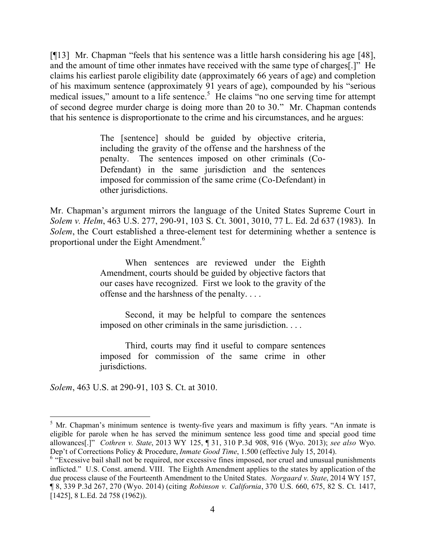[¶13] Mr. Chapman "feels that his sentence was a little harsh considering his age [48], and the amount of time other inmates have received with the same type of charges[.]" He claims his earliest parole eligibility date (approximately 66 years of age) and completion of his maximum sentence (approximately 91 years of age), compounded by his "serious medical issues," amount to a life sentence.<sup>5</sup> He claims "no one serving time for attempt of second degree murder charge is doing more than 20 to 30." Mr. Chapman contends that his sentence is disproportionate to the crime and his circumstances, and he argues:

> The [sentence] should be guided by objective criteria, including the gravity of the offense and the harshness of the penalty. The sentences imposed on other criminals (Co-Defendant) in the same jurisdiction and the sentences imposed for commission of the same crime (Co-Defendant) in other jurisdictions.

Mr. Chapman's argument mirrors the language of the United States Supreme Court in *Solem v. Helm*, 463 U.S. 277, 290-91, 103 S. Ct. 3001, 3010, 77 L. Ed. 2d 637 (1983). In *Solem*, the Court established a three-element test for determining whether a sentence is proportional under the Eight Amendment.<sup>6</sup>

> When sentences are reviewed under the Eighth Amendment, courts should be guided by objective factors that our cases have recognized. First we look to the gravity of the offense and the harshness of the penalty. . . .

> Second, it may be helpful to compare the sentences imposed on other criminals in the same jurisdiction. . . .

> Third, courts may find it useful to compare sentences imposed for commission of the same crime in other jurisdictions.

*Solem*, 463 U.S. at 290-91, 103 S. Ct. at 3010.

 $<sup>5</sup>$  Mr. Chapman's minimum sentence is twenty-five years and maximum is fifty years. "An inmate is</sup> eligible for parole when he has served the minimum sentence less good time and special good time allowances[.]" *Cothren v. State*, 2013 WY 125, ¶ 31, 310 P.3d 908, 916 (Wyo. 2013); *see also* Wyo. Dep't of Corrections Policy & Procedure, *Inmate Good Time*, 1.500 (effective July 15, 2014).

 $6$  "Excessive bail shall not be required, nor excessive fines imposed, nor cruel and unusual punishments inflicted." U.S. Const. amend. VIII. The Eighth Amendment applies to the states by application of the due process clause of the Fourteenth Amendment to the United States. *Norgaard v. State*, 2014 WY 157, ¶ 8, 339 P.3d 267, 270 (Wyo. 2014) (citing *Robinson v. California*, 370 U.S. 660, 675, 82 S. Ct. 1417, [1425], 8 L.Ed. 2d 758 (1962)).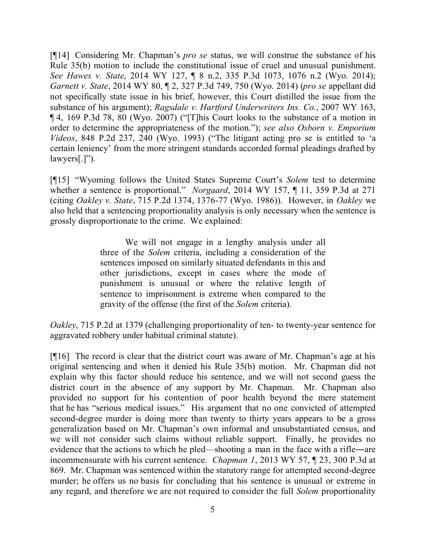[¶14] Considering Mr. Chapman's *pro se* status, we will construe the substance of his Rule 35(b) motion to include the constitutional issue of cruel and unusual punishment. *See Hawes v. State*, 2014 WY 127, ¶ 8 n.2, 335 P.3d 1073, 1076 n.2 (Wyo. 2014); *Garnett v. State*, 2014 WY 80, ¶ 2, 327 P.3d 749, 750 (Wyo. 2014) (*pro se* appellant did not specifically state issue in his brief, however, this Court distilled the issue from the substance of his argument); *Ragsdale v. Hartford Underwriters Ins. Co.*, 2007 WY 163, ¶ 4, 169 P.3d 78, 80 (Wyo. 2007) ("[T]his Court looks to the substance of a motion in order to determine the appropriateness of the motion."); *see also Osborn v. Emporium Videos*, 848 P.2d 237, 240 (Wyo. 1993) ("The litigant acting pro se is entitled to 'a certain leniency' from the more stringent standards accorded formal pleadings drafted by lawyers[.]").

[¶15] "Wyoming follows the United States Supreme Court's *Solem* test to determine whether a sentence is proportional." *Norgaard*, 2014 WY 157, ¶ 11, 359 P.3d at 271 (citing *Oakley v. State*, 715 P.2d 1374, 1376-77 (Wyo. 1986)).However, in *Oakley* we also held that a sentencing proportionality analysis is only necessary when the sentence is grossly disproportionate to the crime. We explained:

> We will not engage in a lengthy analysis under all three of the *Solem* criteria, including a consideration of the sentences imposed on similarly situated defendants in this and other jurisdictions, except in cases where the mode of punishment is unusual or where the relative length of sentence to imprisonment is extreme when compared to the gravity of the offense (the first of the *Solem* criteria).

*Oakley*, 715 P.2d at 1379 (challenging proportionality of ten- to twenty-year sentence for aggravated robbery under habitual criminal statute).

[¶16] The record is clear that the district court was aware of Mr. Chapman's age at his original sentencing and when it denied his Rule 35(b) motion. Mr. Chapman did not explain why this factor should reduce his sentence, and we will not second guess the district court in the absence of any support by Mr. Chapman. Mr. Chapman also provided no support for his contention of poor health beyond the mere statement that he has "serious medical issues." His argument that no one convicted of attempted second-degree murder is doing more than twenty to thirty years appears to be a gross generalization based on Mr. Chapman's own informal and unsubstantiated census, and we will not consider such claims without reliable support. Finally, he provides no evidence that the actions to which he pled—shooting a man in the face with a rifle―are incommensurate with his current sentence. *Chapman 1*, 2013 WY 57, ¶ 23, 300 P.3d at 869. Mr. Chapman was sentenced within the statutory range for attempted second-degree murder; he offers us no basis for concluding that his sentence is unusual or extreme in any regard, and therefore we are not required to consider the full *Solem* proportionality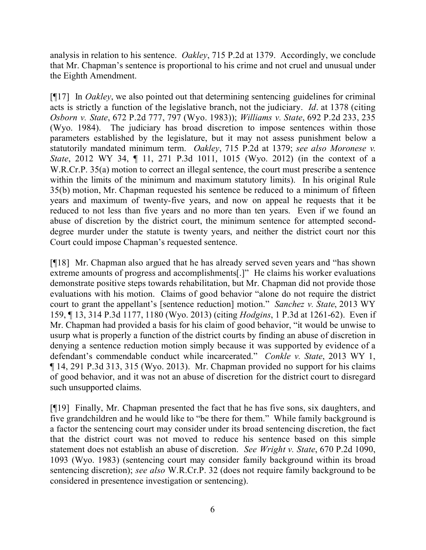analysis in relation to his sentence. *Oakley*, 715 P.2d at 1379. Accordingly, we conclude that Mr. Chapman's sentence is proportional to his crime and not cruel and unusual under the Eighth Amendment.

[¶17] In *Oakley*, we also pointed out that determining sentencing guidelines for criminal acts is strictly a function of the legislative branch, not the judiciary. *Id*. at 1378 (citing *Osborn v. State*, 672 P.2d 777, 797 (Wyo. 1983)); *Williams v. State*, 692 P.2d 233, 235 (Wyo. 1984). The judiciary has broad discretion to impose sentences within those parameters established by the legislature, but it may not assess punishment below a statutorily mandated minimum term. *Oakley*, 715 P.2d at 1379; *see also Moronese v. State*, 2012 WY 34, ¶ 11, 271 P.3d 1011, 1015 (Wyo. 2012) (in the context of a W.R.Cr.P. 35(a) motion to correct an illegal sentence, the court must prescribe a sentence within the limits of the minimum and maximum statutory limits). In his original Rule 35(b) motion, Mr. Chapman requested his sentence be reduced to a minimum of fifteen years and maximum of twenty-five years, and now on appeal he requests that it be reduced to not less than five years and no more than ten years. Even if we found an abuse of discretion by the district court, the minimum sentence for attempted seconddegree murder under the statute is twenty years, and neither the district court nor this Court could impose Chapman's requested sentence.

[¶18] Mr. Chapman also argued that he has already served seven years and "has shown extreme amounts of progress and accomplishments[.]" He claims his worker evaluations demonstrate positive steps towards rehabilitation, but Mr. Chapman did not provide those evaluations with his motion. Claims of good behavior "alone do not require the district court to grant the appellant's [sentence reduction] motion." *Sanchez v. State*, 2013 WY 159, ¶ 13, 314 P.3d 1177, 1180 (Wyo. 2013) (citing *Hodgins*, 1 P.3d at 1261-62). Even if Mr. Chapman had provided a basis for his claim of good behavior, "it would be unwise to usurp what is properly a function of the district courts by finding an abuse of discretion in denying a sentence reduction motion simply because it was supported by evidence of a defendant's commendable conduct while incarcerated." *Conkle v. State*, 2013 WY 1, ¶ 14, 291 P.3d 313, 315 (Wyo. 2013). Mr. Chapman provided no support for his claims of good behavior, and it was not an abuse of discretion for the district court to disregard such unsupported claims.

[¶19] Finally, Mr. Chapman presented the fact that he has five sons, six daughters, and five grandchildren and he would like to "be there for them." While family background is a factor the sentencing court may consider under its broad sentencing discretion, the fact that the district court was not moved to reduce his sentence based on this simple statement does not establish an abuse of discretion. *See Wright v. State*, 670 P.2d 1090, 1093 (Wyo. 1983) (sentencing court may consider family background within its broad sentencing discretion); *see also* W.R.Cr.P. 32 (does not require family background to be considered in presentence investigation or sentencing).